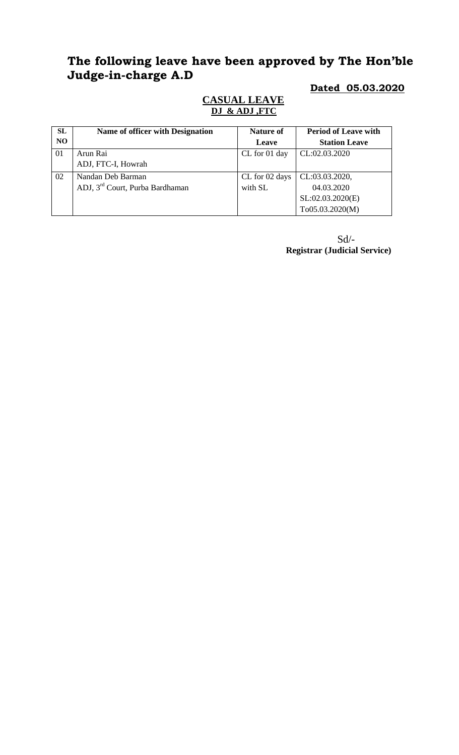# **The following leave have been approved by The Hon'ble Judge-in-charge A.D**

## **Dated 05.03.2020**

### **CASUAL LEAVE DJ & ADJ ,FTC**

| SL             | Name of officer with Designation            | <b>Nature of</b> | <b>Period of Leave with</b> |
|----------------|---------------------------------------------|------------------|-----------------------------|
| N <sub>O</sub> |                                             | Leave            | <b>Station Leave</b>        |
| 01             | Arun Rai                                    | CL for 01 day    | CL:02.03.2020               |
|                | ADJ, FTC-I, Howrah                          |                  |                             |
| 02             | Nandan Deb Barman                           | CL for 02 days   | CL:03.03.2020,              |
|                | ADJ, 3 <sup>rd</sup> Court, Purba Bardhaman | with SL          | 04.03.2020                  |
|                |                                             |                  | SL:02.03.2020(E)            |
|                |                                             |                  | To05.03.2020(M)             |

Sd/- **Registrar (Judicial Service)**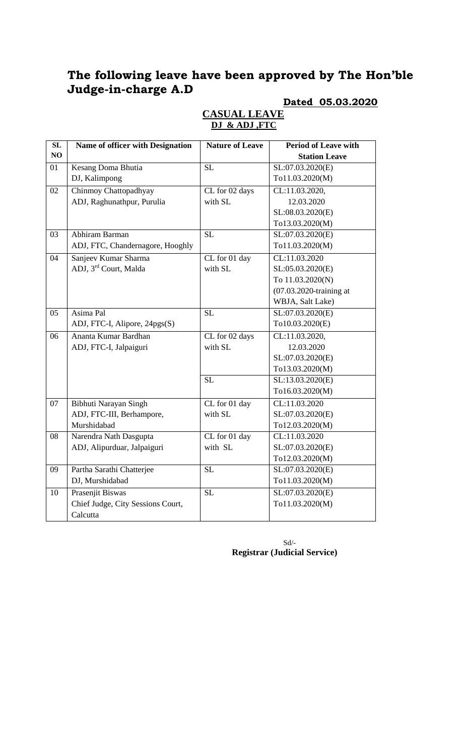# **The following leave have been approved by The Hon'ble Judge-in-charge A.D**

# **Dated 05.03.2020**

| SL | Name of officer with Designation  | <b>Nature of Leave</b> | <b>Period of Leave with</b> |
|----|-----------------------------------|------------------------|-----------------------------|
| NO |                                   |                        | <b>Station Leave</b>        |
| 01 | Kesang Doma Bhutia                | <b>SL</b>              | SL:07.03.2020(E)            |
|    | DJ, Kalimpong                     |                        | To11.03.2020(M)             |
| 02 | Chinmoy Chattopadhyay             | CL for 02 days         | CL:11.03.2020,              |
|    | ADJ, Raghunathpur, Purulia        | with SL                | 12.03.2020                  |
|    |                                   |                        | SL:08.03.2020(E)            |
|    |                                   |                        | To13.03.2020(M)             |
| 03 | Abhiram Barman                    | $\overline{SL}$        | SL:07.03.2020(E)            |
|    | ADJ, FTC, Chandernagore, Hooghly  |                        | To11.03.2020(M)             |
| 04 | Sanjeev Kumar Sharma              | CL for 01 day          | CL:11.03.2020               |
|    | ADJ, 3rd Court, Malda             | with SL                | SL:05.03.2020(E)            |
|    |                                   |                        | To 11.03.2020(N)            |
|    |                                   |                        | $(07.03.2020$ -training at  |
|    |                                   |                        | WBJA, Salt Lake)            |
| 05 | Asima Pal                         | <b>SL</b>              | SL:07.03.2020(E)            |
|    | ADJ, FTC-I, Alipore, 24pgs(S)     |                        | To10.03.2020(E)             |
| 06 | Ananta Kumar Bardhan              | CL for 02 days         | CL:11.03.2020,              |
|    | ADJ, FTC-I, Jalpaiguri            | with SL                | 12.03.2020                  |
|    |                                   |                        | SL:07.03.2020(E)            |
|    |                                   |                        | To13.03.2020(M)             |
|    |                                   | <b>SL</b>              | SL:13.03.2020(E)            |
|    |                                   |                        | To16.03.2020(M)             |
| 07 | Bibhuti Narayan Singh             | CL for 01 day          | CL:11.03.2020               |
|    | ADJ, FTC-III, Berhampore,         | with SL                | SL:07.03.2020(E)            |
|    | Murshidabad                       |                        | To12.03.2020(M)             |
| 08 | Narendra Nath Dasgupta            | CL for 01 day          | CL:11.03.2020               |
|    | ADJ, Alipurduar, Jalpaiguri       | with SL                | SL:07.03.2020(E)            |
|    |                                   |                        | To12.03.2020(M)             |
| 09 | Partha Sarathi Chatterjee         | SL                     | SL:07.03.2020(E)            |
|    | DJ, Murshidabad                   |                        | To11.03.2020(M)             |
| 10 | Prasenjit Biswas                  | $\overline{SL}$        | SL:07.03.2020(E)            |
|    | Chief Judge, City Sessions Court, |                        | To11.03.2020(M)             |
|    | Calcutta                          |                        |                             |

#### **CASUAL LEAVE DJ & ADJ ,FTC**

 $\mbox{Sd}/\mbox{-}$ **Registrar (Judicial Service)**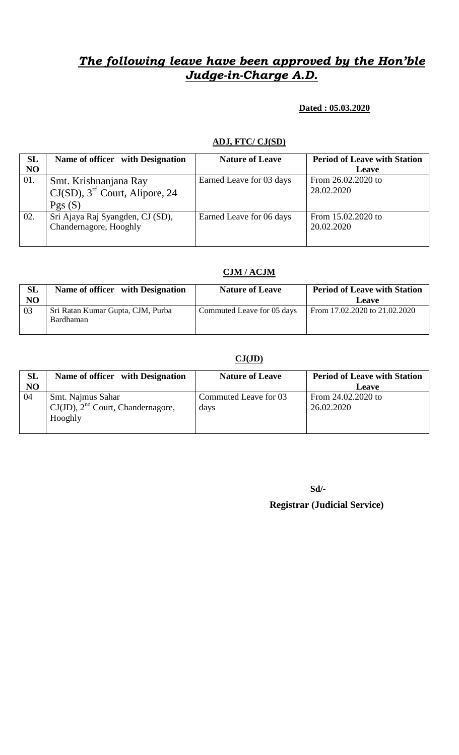# *The following leave have been approved by the Hon'ble Judge-in-Charge A.D.*

#### **Dated : 05.03.2020**

#### **ADJ, FTC/ CJ(SD)**

| SL  | Name of officer with Designation              | <b>Nature of Leave</b>   | <b>Period of Leave with Station</b> |
|-----|-----------------------------------------------|--------------------------|-------------------------------------|
| NO  |                                               |                          | Leave                               |
| 01. | Smt. Krishnanjana Ray                         | Earned Leave for 03 days | From 26.02.2020 to                  |
|     | $CJ(SD)$ , 3 <sup>rd</sup> Court, Alipore, 24 |                          | 28.02.2020                          |
|     | Pgs(S)                                        |                          |                                     |
| 02. | Sri Ajaya Raj Syangden, CJ (SD),              | Earned Leave for 06 days | From 15.02.2020 to                  |
|     | Chandernagore, Hooghly                        |                          | 20.02.2020                          |
|     |                                               |                          |                                     |

#### **CJM / ACJM**

| <b>SL</b><br>NO | Name of officer with Designation               | <b>Nature of Leave</b>     | <b>Period of Leave with Station</b><br>Leave |
|-----------------|------------------------------------------------|----------------------------|----------------------------------------------|
| 03              | Sri Ratan Kumar Gupta, CJM, Purba<br>Bardhaman | Commuted Leave for 05 days | From 17.02.2020 to 21.02.2020                |

#### **CJ(JD)**

| <b>SL</b><br>NO | Name of officer with Designation                                       | <b>Nature of Leave</b>        | <b>Period of Leave with Station</b><br>Leave |
|-----------------|------------------------------------------------------------------------|-------------------------------|----------------------------------------------|
| 04              | Smt. Najmus Sahar<br>$CJ(JD)$ , $2nd$ Court, Chandernagore,<br>Hooghly | Commuted Leave for 03<br>days | From 24.02.2020 to<br>26.02.2020             |

**Sd/-**

 **Registrar (Judicial Service)**